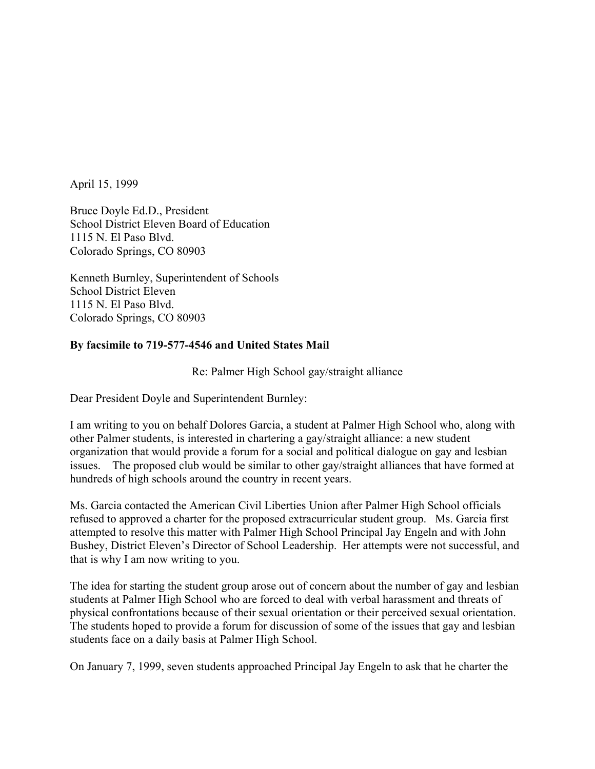April 15, 1999

Bruce Doyle Ed.D., President School District Eleven Board of Education 1115 N. El Paso Blvd. Colorado Springs, CO 80903

Kenneth Burnley, Superintendent of Schools School District Eleven 1115 N. El Paso Blvd. Colorado Springs, CO 80903

## **By facsimile to 719-577-4546 and United States Mail**

Re: Palmer High School gay/straight alliance

Dear President Doyle and Superintendent Burnley:

I am writing to you on behalf Dolores Garcia, a student at Palmer High School who, along with other Palmer students, is interested in chartering a gay/straight alliance: a new student organization that would provide a forum for a social and political dialogue on gay and lesbian issues. The proposed club would be similar to other gay/straight alliances that have formed at hundreds of high schools around the country in recent years.

Ms. Garcia contacted the American Civil Liberties Union after Palmer High School officials refused to approved a charter for the proposed extracurricular student group. Ms. Garcia first attempted to resolve this matter with Palmer High School Principal Jay Engeln and with John Bushey, District Eleven's Director of School Leadership. Her attempts were not successful, and that is why I am now writing to you.

The idea for starting the student group arose out of concern about the number of gay and lesbian students at Palmer High School who are forced to deal with verbal harassment and threats of physical confrontations because of their sexual orientation or their perceived sexual orientation. The students hoped to provide a forum for discussion of some of the issues that gay and lesbian students face on a daily basis at Palmer High School.

On January 7, 1999, seven students approached Principal Jay Engeln to ask that he charter the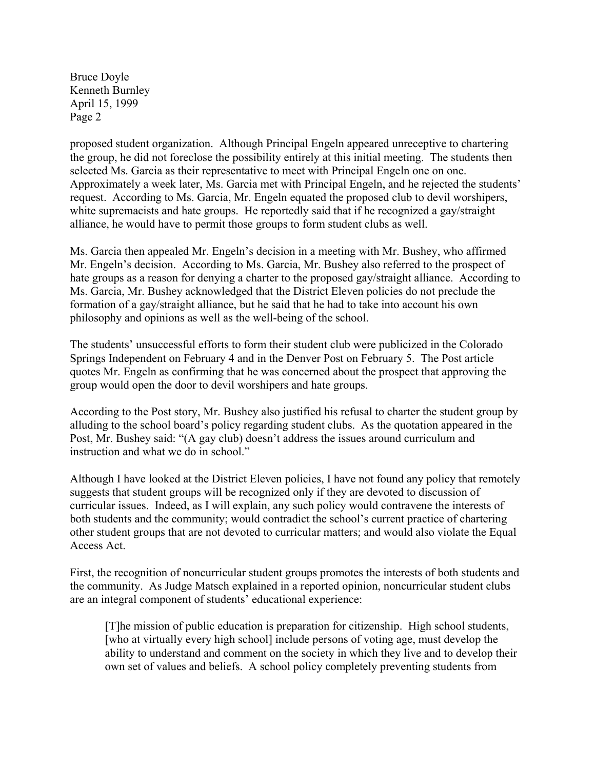proposed student organization. Although Principal Engeln appeared unreceptive to chartering the group, he did not foreclose the possibility entirely at this initial meeting. The students then selected Ms. Garcia as their representative to meet with Principal Engeln one on one. Approximately a week later, Ms. Garcia met with Principal Engeln, and he rejected the students' request. According to Ms. Garcia, Mr. Engeln equated the proposed club to devil worshipers, white supremacists and hate groups. He reportedly said that if he recognized a gay/straight alliance, he would have to permit those groups to form student clubs as well.

Ms. Garcia then appealed Mr. Engeln's decision in a meeting with Mr. Bushey, who affirmed Mr. Engeln's decision. According to Ms. Garcia, Mr. Bushey also referred to the prospect of hate groups as a reason for denying a charter to the proposed gay/straight alliance. According to Ms. Garcia, Mr. Bushey acknowledged that the District Eleven policies do not preclude the formation of a gay/straight alliance, but he said that he had to take into account his own philosophy and opinions as well as the well-being of the school.

The students' unsuccessful efforts to form their student club were publicized in the Colorado Springs Independent on February 4 and in the Denver Post on February 5. The Post article quotes Mr. Engeln as confirming that he was concerned about the prospect that approving the group would open the door to devil worshipers and hate groups.

According to the Post story, Mr. Bushey also justified his refusal to charter the student group by alluding to the school board's policy regarding student clubs. As the quotation appeared in the Post, Mr. Bushey said: "(A gay club) doesn't address the issues around curriculum and instruction and what we do in school."

Although I have looked at the District Eleven policies, I have not found any policy that remotely suggests that student groups will be recognized only if they are devoted to discussion of curricular issues. Indeed, as I will explain, any such policy would contravene the interests of both students and the community; would contradict the school's current practice of chartering other student groups that are not devoted to curricular matters; and would also violate the Equal Access Act.

First, the recognition of noncurricular student groups promotes the interests of both students and the community. As Judge Matsch explained in a reported opinion, noncurricular student clubs are an integral component of students' educational experience:

 [T]he mission of public education is preparation for citizenship. High school students, [who at virtually every high school] include persons of voting age, must develop the ability to understand and comment on the society in which they live and to develop their own set of values and beliefs. A school policy completely preventing students from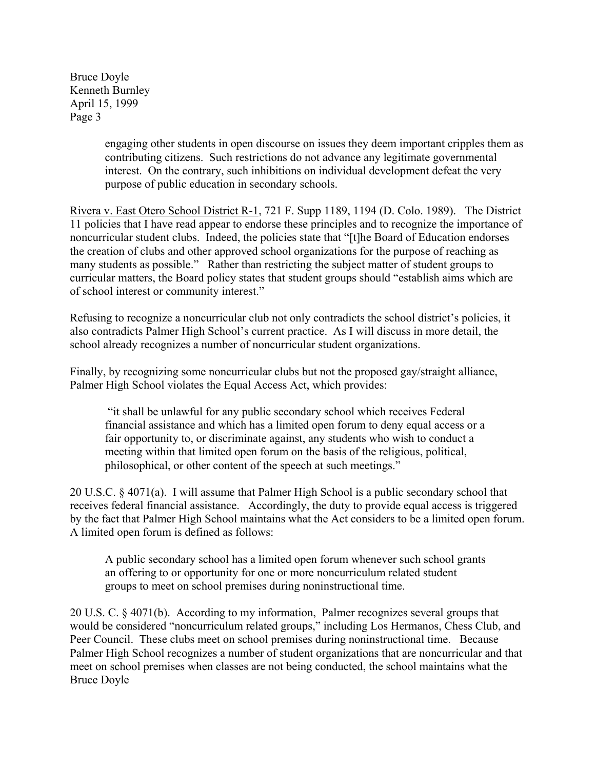> engaging other students in open discourse on issues they deem important cripples them as contributing citizens. Such restrictions do not advance any legitimate governmental interest. On the contrary, such inhibitions on individual development defeat the very purpose of public education in secondary schools.

Rivera v. East Otero School District R-1, 721 F. Supp 1189, 1194 (D. Colo. 1989). The District 11 policies that I have read appear to endorse these principles and to recognize the importance of noncurricular student clubs. Indeed, the policies state that "[t]he Board of Education endorses the creation of clubs and other approved school organizations for the purpose of reaching as many students as possible." Rather than restricting the subject matter of student groups to curricular matters, the Board policy states that student groups should "establish aims which are of school interest or community interest."

Refusing to recognize a noncurricular club not only contradicts the school district's policies, it also contradicts Palmer High School's current practice. As I will discuss in more detail, the school already recognizes a number of noncurricular student organizations.

Finally, by recognizing some noncurricular clubs but not the proposed gay/straight alliance, Palmer High School violates the Equal Access Act, which provides:

 "it shall be unlawful for any public secondary school which receives Federal financial assistance and which has a limited open forum to deny equal access or a fair opportunity to, or discriminate against, any students who wish to conduct a meeting within that limited open forum on the basis of the religious, political, philosophical, or other content of the speech at such meetings."

20 U.S.C. § 4071(a). I will assume that Palmer High School is a public secondary school that receives federal financial assistance. Accordingly, the duty to provide equal access is triggered by the fact that Palmer High School maintains what the Act considers to be a limited open forum. A limited open forum is defined as follows:

A public secondary school has a limited open forum whenever such school grants an offering to or opportunity for one or more noncurriculum related student groups to meet on school premises during noninstructional time.

20 U.S. C. § 4071(b). According to my information, Palmer recognizes several groups that would be considered "noncurriculum related groups," including Los Hermanos, Chess Club, and Peer Council. These clubs meet on school premises during noninstructional time. Because Palmer High School recognizes a number of student organizations that are noncurricular and that meet on school premises when classes are not being conducted, the school maintains what the Bruce Doyle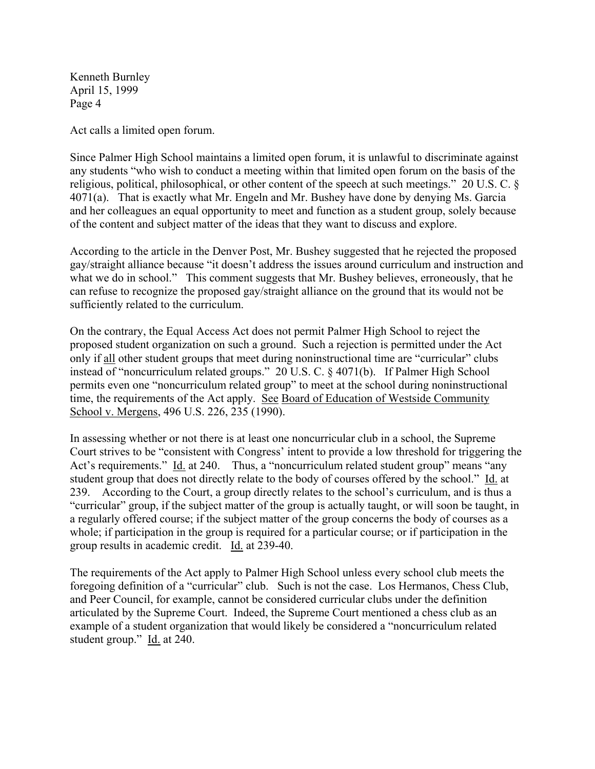Kenneth Burnley April 15, 1999 Page 4

Act calls a limited open forum.

Since Palmer High School maintains a limited open forum, it is unlawful to discriminate against any students "who wish to conduct a meeting within that limited open forum on the basis of the religious, political, philosophical, or other content of the speech at such meetings." 20 U.S. C. § 4071(a). That is exactly what Mr. Engeln and Mr. Bushey have done by denying Ms. Garcia and her colleagues an equal opportunity to meet and function as a student group, solely because of the content and subject matter of the ideas that they want to discuss and explore.

According to the article in the Denver Post, Mr. Bushey suggested that he rejected the proposed gay/straight alliance because "it doesn't address the issues around curriculum and instruction and what we do in school." This comment suggests that Mr. Bushey believes, erroneously, that he can refuse to recognize the proposed gay/straight alliance on the ground that its would not be sufficiently related to the curriculum.

On the contrary, the Equal Access Act does not permit Palmer High School to reject the proposed student organization on such a ground. Such a rejection is permitted under the Act only if all other student groups that meet during noninstructional time are "curricular" clubs instead of "noncurriculum related groups." 20 U.S. C. § 4071(b). If Palmer High School permits even one "noncurriculum related group" to meet at the school during noninstructional time, the requirements of the Act apply. See Board of Education of Westside Community School v. Mergens, 496 U.S. 226, 235 (1990).

In assessing whether or not there is at least one noncurricular club in a school, the Supreme Court strives to be "consistent with Congress' intent to provide a low threshold for triggering the Act's requirements." Id. at 240. Thus, a "noncurriculum related student group" means "any student group that does not directly relate to the body of courses offered by the school." Id. at 239. According to the Court, a group directly relates to the school's curriculum, and is thus a "curricular" group, if the subject matter of the group is actually taught, or will soon be taught, in a regularly offered course; if the subject matter of the group concerns the body of courses as a whole; if participation in the group is required for a particular course; or if participation in the group results in academic credit. Id. at 239-40.

The requirements of the Act apply to Palmer High School unless every school club meets the foregoing definition of a "curricular" club. Such is not the case. Los Hermanos, Chess Club, and Peer Council, for example, cannot be considered curricular clubs under the definition articulated by the Supreme Court. Indeed, the Supreme Court mentioned a chess club as an example of a student organization that would likely be considered a "noncurriculum related student group." Id. at 240.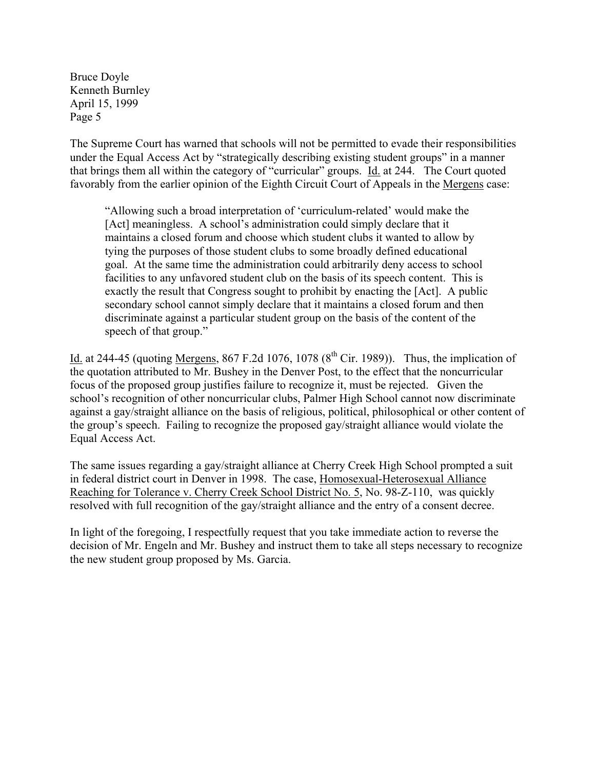The Supreme Court has warned that schools will not be permitted to evade their responsibilities under the Equal Access Act by "strategically describing existing student groups" in a manner that brings them all within the category of "curricular" groups. Id. at 244. The Court quoted favorably from the earlier opinion of the Eighth Circuit Court of Appeals in the Mergens case:

"Allowing such a broad interpretation of 'curriculum-related' would make the [Act] meaningless. A school's administration could simply declare that it maintains a closed forum and choose which student clubs it wanted to allow by tying the purposes of those student clubs to some broadly defined educational goal. At the same time the administration could arbitrarily deny access to school facilities to any unfavored student club on the basis of its speech content. This is exactly the result that Congress sought to prohibit by enacting the [Act]. A public secondary school cannot simply declare that it maintains a closed forum and then discriminate against a particular student group on the basis of the content of the speech of that group."

Id. at 244-45 (quoting Mergens,  $867$  F.2d 1076, 1078 ( $8<sup>th</sup>$  Cir. 1989)). Thus, the implication of the quotation attributed to Mr. Bushey in the Denver Post, to the effect that the noncurricular focus of the proposed group justifies failure to recognize it, must be rejected. Given the school's recognition of other noncurricular clubs, Palmer High School cannot now discriminate against a gay/straight alliance on the basis of religious, political, philosophical or other content of the group's speech. Failing to recognize the proposed gay/straight alliance would violate the Equal Access Act.

The same issues regarding a gay/straight alliance at Cherry Creek High School prompted a suit in federal district court in Denver in 1998. The case, Homosexual-Heterosexual Alliance Reaching for Tolerance v. Cherry Creek School District No. 5, No. 98-Z-110, was quickly resolved with full recognition of the gay/straight alliance and the entry of a consent decree.

In light of the foregoing, I respectfully request that you take immediate action to reverse the decision of Mr. Engeln and Mr. Bushey and instruct them to take all steps necessary to recognize the new student group proposed by Ms. Garcia.